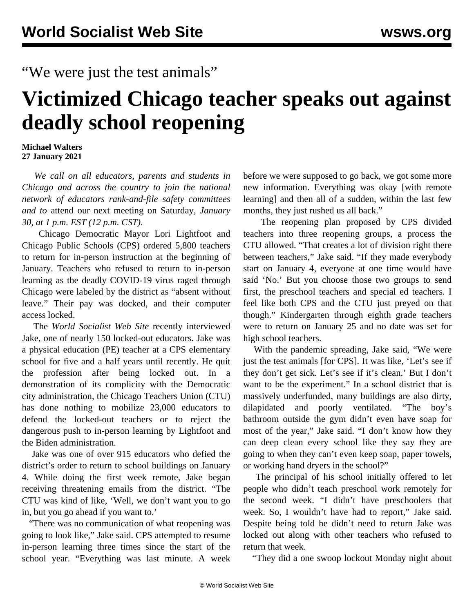## "We were just the test animals"

## **Victimized Chicago teacher speaks out against deadly school reopening**

## **Michael Walters 27 January 2021**

 *We call on all educators, parents and students in Chicago and across the country to join the national network of educators rank-and-file safety committees and to* [attend our next meeting on Saturday](https://attendee.gotowebinar.com/register/7265189519408431632)*, January 30, at 1 p.m. EST (12 p.m. CST).*

 Chicago Democratic Mayor Lori Lightfoot and Chicago Public Schools (CPS) ordered 5,800 teachers to return for in-person instruction at the beginning of January. Teachers who refused to return to in-person learning as the deadly COVID-19 virus raged through Chicago were labeled by the district as "absent without leave." Their pay was docked, and their computer access locked.

 The *World Socialist Web Site* recently interviewed Jake, one of nearly 150 [locked-out educators](/en/articles/2021/01/13/chic-j13.html). Jake was a physical education (PE) teacher at a CPS elementary school for five and a half years until recently. He quit the profession after being locked out. In a demonstration of its complicity with the Democratic city administration, the Chicago Teachers Union (CTU) has done nothing to mobilize 23,000 educators to defend the locked-out teachers or to reject the dangerous push to in-person learning by Lightfoot and the Biden administration.

 Jake was one of over 915 educators who defied the district's order to return to school buildings on January 4. While doing the first week remote, Jake began receiving threatening emails from the district. "The CTU was kind of like, 'Well, we don't want you to go in, but you go ahead if you want to.'

 "There was no communication of what reopening was going to look like," Jake said. CPS attempted to resume in-person learning three times since the start of the school year. "Everything was last minute. A week before we were supposed to go back, we got some more new information. Everything was okay [with remote learning] and then all of a sudden, within the last few months, they just rushed us all back."

 The reopening plan proposed by CPS divided teachers into three reopening groups, a process the CTU allowed. "That creates a lot of division right there between teachers," Jake said. "If they made everybody start on January 4, everyone at one time would have said 'No.' But you choose those two groups to send first, the preschool teachers and special ed teachers. I feel like both CPS and the CTU just preyed on that though." Kindergarten through eighth grade teachers were to return on January 25 and no date was set for high school teachers.

 With the pandemic spreading, Jake said, "We were just the test animals [for CPS]. It was like, 'Let's see if they don't get sick. Let's see if it's clean.' But I don't want to be the experiment." In a school district that is massively underfunded, many buildings are also dirty, dilapidated and poorly ventilated. "The boy's bathroom outside the gym didn't even have soap for most of the year," Jake said. "I don't know how they can deep clean every school like they say they are going to when they can't even keep soap, paper towels, or working hand dryers in the school?"

 The principal of his school initially offered to let people who didn't teach preschool work remotely for the second week. "I didn't have preschoolers that week. So, I wouldn't have had to report," Jake said. Despite being told he didn't need to return Jake was locked out along with other teachers who refused to return that week.

"They did a one swoop lockout Monday night about